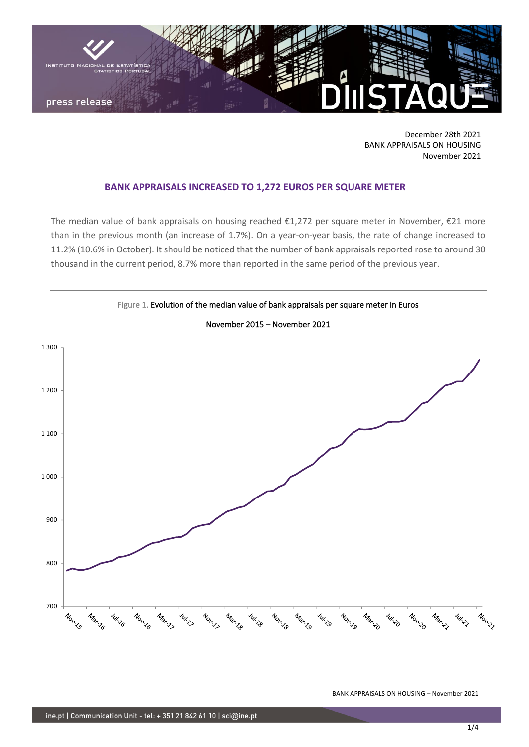

December 28th 2021 BANK APPRAISALS ON HOUSING November 2021

## **BANK APPRAISALS INCREASED TO 1,272 EUROS PER SQUARE METER**

The median value of bank appraisals on housing reached  $\epsilon$ 1,272 per square meter in November,  $\epsilon$ 21 more than in the previous month (an increase of 1.7%). On a year-on-year basis, the rate of change increased to 11.2% (10.6% in October). It should be noticed that the number of bank appraisals reported rose to around 30 thousand in the current period, 8.7% more than reported in the same period of the previous year.



November 2015 – November 2021

Figure 1. Evolution of the median value of bank appraisals per square meter in Euros

BANK APPRAISALS ON HOUSING – November 2021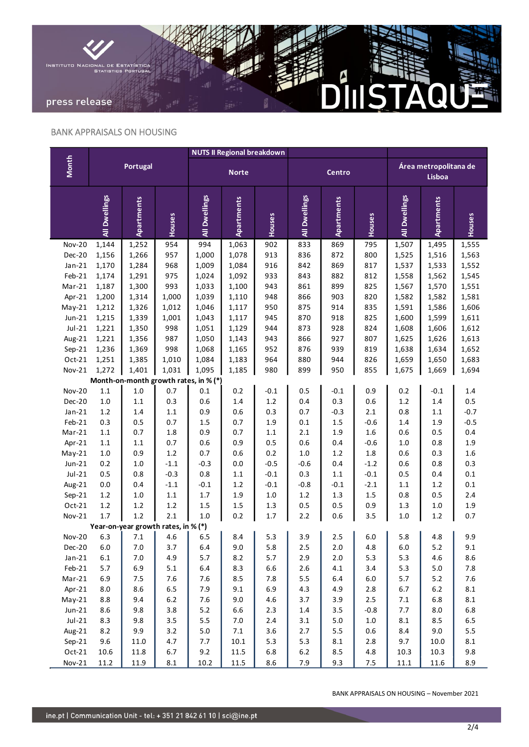

## BANK APPRAISALS ON HOUSING

|                                       | <b>Portugal</b> |                                     |                  | <b>NUTS II Regional breakdown</b> |                   |                   |               |               |                   |                                 |            |            |
|---------------------------------------|-----------------|-------------------------------------|------------------|-----------------------------------|-------------------|-------------------|---------------|---------------|-------------------|---------------------------------|------------|------------|
| <b>Month</b>                          |                 |                                     |                  | <b>Norte</b>                      |                   |                   | Centro        |               |                   | Área metropolitana de<br>Lisboa |            |            |
|                                       | All Dwellings   | <b>Apartments</b>                   | Houses           | All Dwellings                     | <b>Apartments</b> | Houses            | All Dwellings | Apartments    | Houses            | All Dwellings                   | Apartments | Houses     |
| <b>Nov-20</b>                         | 1,144           | 1,252                               | 954              | 994                               | 1,063             | 902               | 833           | 869           | 795               | 1,507                           | 1,495      | 1,555      |
| Dec-20                                | 1,156           | 1,266                               | 957              | 1,000                             | 1,078             | 913               | 836           | 872           | 800               | 1,525                           | 1,516      | 1,563      |
| $Jan-21$                              | 1,170           | 1,284                               | 968              | 1,009                             | 1,084             | 916               | 842           | 869           | 817               | 1,537                           | 1,533      | 1,552      |
| Feb-21                                | 1,174           | 1,291                               | 975              | 1,024                             | 1,092             | 933               | 843           | 882           | 812               | 1,558                           | 1,562      | 1,545      |
| Mar-21                                | 1,187           | 1,300                               | 993              | 1,033                             | 1,100             | 943               | 861           | 899           | 825               | 1,567                           | 1,570      | 1,551      |
| Apr-21                                | 1,200           | 1,314                               | 1,000            | 1,039                             | 1,110             | 948               | 866           | 903           | 820               | 1,582                           | 1,582      | 1,581      |
| $May-21$                              | 1,212           | 1,326                               | 1,012            | 1,046                             | 1,117             | 950               | 875           | 914           | 835               | 1,591                           | 1,586      | 1,606      |
| $Jun-21$                              | 1,215           | 1,339                               | 1,001            | 1,043                             | 1,117             | 945               | 870           | 918           | 825               | 1,600                           | 1,599      | 1,611      |
| $Jul-21$                              | 1,221           | 1,350                               | 998              | 1,051                             | 1,129             | 944               | 873           | 928           | 824               | 1,608                           | 1,606      | 1,612      |
| Aug-21                                | 1,221           | 1,356                               | 987              | 1,050                             | 1,143             | 943               | 866           | 927           | 807               | 1,625                           | 1,626      | 1,613      |
| $Sep-21$                              | 1,236           | 1,369                               | 998              | 1,068                             | 1,165             | 952               | 876           | 939           | 819               | 1,638                           | 1,634      | 1,652      |
| Oct-21                                | 1,251           | 1,385                               | 1,010            | 1,084                             | 1,183             | 964               | 880           | 944           | 826               | 1,659                           | 1,650      | 1,683      |
| Nov-21                                | 1,272           | 1,401                               | 1,031            | 1,095                             | 1,185             | 980               | 899           | 950           | 855               | 1,675                           | 1,669      | 1,694      |
| Month-on-month growth rates, in % (*) |                 |                                     |                  |                                   |                   |                   |               |               |                   |                                 |            |            |
| <b>Nov-20</b>                         | 1.1             | $1.0\,$                             | 0.7              | 0.1                               | 0.2               | $-0.1$            | 0.5           | $-0.1$        | 0.9               | 0.2                             | $-0.1$     | 1.4        |
| Dec-20                                | $1.0$           | $1.1\,$                             | 0.3              | 0.6                               | 1.4               | $1.2\,$           | 0.4           | 0.3           | 0.6               | $1.2\,$                         | 1.4        | 0.5        |
| $Jan-21$                              | 1.2             | 1.4                                 | $1.1\,$          | 0.9                               | 0.6               | 0.3               | 0.7           | $-0.3$        | 2.1               | 0.8                             | $1.1\,$    | $-0.7$     |
| Feb-21                                | 0.3             | 0.5                                 | 0.7              | 1.5                               | 0.7               | 1.9               | 0.1           | 1.5           | $-0.6$            | 1.4                             | 1.9        | $-0.5$     |
| Mar-21                                | 1.1             | 0.7                                 | 1.8              | 0.9                               | 0.7               | 1.1               | 2.1           | 1.9           | 1.6               | 0.6                             | 0.5        | 0.4        |
| Apr-21                                | $1.1\,$         | 1.1                                 | 0.7              | 0.6                               | 0.9               | 0.5               | 0.6           | 0.4           | $-0.6$            | $1.0\,$                         | 0.8        | 1.9        |
| $May-21$                              | $1.0$           | 0.9                                 | 1.2              | 0.7                               | 0.6               | 0.2               | $1.0$         | 1.2           | 1.8               | 0.6                             | 0.3        | 1.6        |
| $Jun-21$                              | 0.2             | 1.0                                 | $-1.1$           | $-0.3$                            | 0.0               | $-0.5$            | $-0.6$<br>0.3 | 0.4           | $-1.2$            | 0.6                             | 0.8        | 0.3        |
| $Jul-21$                              | 0.5             | 0.8                                 | $-0.3$<br>$-1.1$ | 0.8                               | $1.1\,$           | $-0.1$            |               | $1.1\,$       | $-0.1$            | 0.5                             | 0.4        | 0.1        |
| Aug-21<br>$Sep-21$                    | 0.0<br>1.2      | 0.4<br>1.0                          | 1.1              | $-0.1$<br>$1.7$                   | 1.2<br>1.9        | $-0.1$<br>$1.0\,$ | $-0.8$<br>1.2 | $-0.1$<br>1.3 | $-2.1$<br>$1.5\,$ | $1.1\,$<br>0.8                  | 1.2<br>0.5 | 0.1<br>2.4 |
| Oct-21                                | 1.2             | 1.2                                 | 1.2              | 1.5                               | 1.5               | 1.3               | 0.5           | 0.5           | 0.9               | 1.3                             | 1.0        | 1.9        |
| $Nov-21$                              | 1.7             | $1.2\,$                             | 2.1              | 1.0                               | 0.2               | 1.7               | 2.2           | 0.6           | 3.5               | $1.0$                           | 1.2        | 0.7        |
|                                       |                 | Year-on-year growth rates, in % (*) |                  |                                   |                   |                   |               |               |                   |                                 |            |            |
| <b>Nov-20</b>                         | 6.3             | 7.1                                 | 4.6              | 6.5                               | 8.4               | 5.3               | 3.9           | 2.5           | 6.0               | 5.8                             | 4.8        | 9.9        |
| <b>Dec-20</b>                         | 6.0             | 7.0                                 | 3.7              | 6.4                               | 9.0               | 5.8               | 2.5           | 2.0           | 4.8               | 6.0                             | $5.2$      | 9.1        |
| $Jan-21$                              | $6.1\,$         | $7.0\,$                             | 4.9              | 5.7                               | 8.2               | 5.7               | 2.9           | $2.0$         | 5.3               | 5.3                             | 4.6        | 8.6        |
| Feb-21                                | 5.7             | 6.9                                 | $5.1\,$          | 6.4                               | 8.3               | 6.6               | 2.6           | $4.1\,$       | 3.4               | 5.3                             | 5.0        | 7.8        |
| $Mar-21$                              | 6.9             | $7.5\,$                             | $7.6$            | $7.6$                             | 8.5               | 7.8               | 5.5           | $6.4\,$       | $6.0\,$           | 5.7                             | 5.2        | 7.6        |
| Apr-21                                | 8.0             | $8.6\,$                             | 6.5              | 7.9                               | 9.1               | 6.9               | 4.3           | 4.9           | $2.8\,$           | 6.7                             | 6.2        | $8.1\,$    |
| $May-21$                              | 8.8             | 9.4                                 | $6.2\,$          | 7.6                               | 9.0               | 4.6               | 3.7           | 3.9           | 2.5               | $7.1\,$                         | 6.8        | $8.1\,$    |
| $Jun-21$                              | 8.6             | 9.8                                 | $3.8\,$          | 5.2                               | 6.6               | $2.3$             | $1.4\,$       | 3.5           | $-0.8$            | 7.7                             | 8.0        | 6.8        |
| $Jul-21$                              | 8.3             | 9.8                                 | 3.5              | 5.5                               | $7.0\,$           | $2.4$             | $3.1\,$       | $5.0$         | $1.0\,$           | $\bf 8.1$                       | 8.5        | 6.5        |
| Aug-21                                | 8.2             | 9.9                                 | 3.2              | $5.0\,$                           | $7.1\,$           | 3.6               | 2.7           | 5.5           | $0.6\,$           | 8.4                             | 9.0        | 5.5        |
| $Sep-21$                              | 9.6             | $11.0\,$                            | 4.7              | 7.7                               | 10.1              | 5.3               | 5.3           | $\bf 8.1$     | 2.8               | 9.7                             | 10.0       | $8.1\,$    |
| $Oct-21$                              | 10.6            | 11.8                                | 6.7              | 9.2                               | 11.5              | $6.8\,$           | $6.2\,$       | 8.5           | 4.8               | 10.3                            | 10.3       | 9.8        |
| Nov-21                                | 11.2            | 11.9                                | $\bf 8.1$        | 10.2                              | 11.5              | $8.6\,$           | 7.9           | 9.3           | $7.5$             | $11.1\,$                        | 11.6       | 8.9        |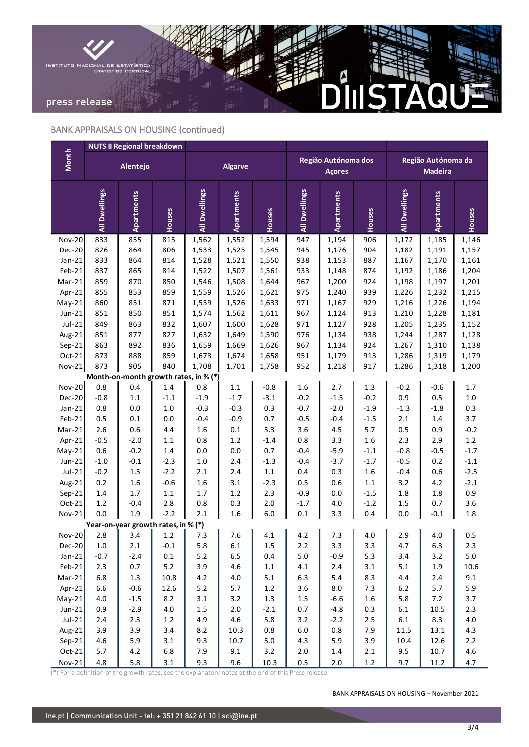

# BANK APPRAISALS ON HOUSING (continued)

|                                       |               | <b>NUTS II Regional breakdown</b>   |                  |                |                |                   |                                      |                |                   |                                      |            |                  |
|---------------------------------------|---------------|-------------------------------------|------------------|----------------|----------------|-------------------|--------------------------------------|----------------|-------------------|--------------------------------------|------------|------------------|
| <b>Month</b>                          |               | Alentejo                            |                  | <b>Algarve</b> |                |                   | Região Autónoma dos<br><b>Açores</b> |                |                   | Região Autónoma da<br><b>Madeira</b> |            |                  |
|                                       | All Dwellings | Apartments                          | Houses           | All Dwellings  | Apartments     | Houses            | All Dwellings                        | Apartments     | Houses            | All Dwellings                        | Apartments | Houses           |
| <b>Nov-20</b>                         | 833           | 855                                 | 815              | 1,562          | 1,552          | 1,594             | 947                                  | 1,194          | 906               | 1,172                                | 1,185      | 1,146            |
| Dec-20                                | 826           | 864                                 | 806              | 1,533          | 1,525          | 1,545             | 945                                  | 1,176          | 904               | 1,182                                | 1,191      | 1,157            |
| $Jan-21$                              | 833           | 864                                 | 814              | 1,528          | 1,521          | 1,550             | 938                                  | 1,153          | 887               | 1,167                                | 1,170      | 1,161            |
| Feb-21                                | 837           | 865                                 | 814              | 1,522          | 1,507          | 1,561             | 933                                  | 1,148          | 874               | 1,192                                | 1,186      | 1,204            |
| Mar-21                                | 859           | 870                                 | 850              | 1,546          | 1,508          | 1,644             | 967                                  | 1,200          | 924               | 1,198                                | 1,197      | 1,201            |
| Apr-21                                | 855           | 853                                 | 859              | 1,559          | 1,526          | 1,621             | 975                                  | 1,240          | 939               | 1,226                                | 1,232      | 1,215            |
| $May-21$                              | 860           | 851                                 | 871              | 1,559          | 1,526          | 1,633             | 971                                  | 1,167          | 929               | 1,216                                | 1,226      | 1,194            |
| $Jun-21$                              | 851           | 850                                 | 851              | 1,574          | 1,562          | 1,611             | 967                                  | 1,124          | 913               | 1,210                                | 1,228      | 1,181            |
| $Jul-21$                              | 849           | 863                                 | 832              | 1,607          | 1,600          | 1,628             | 971                                  | 1,127          | 928               | 1,205                                | 1,235      | 1,152            |
| Aug-21                                | 851           | 877                                 | 827              | 1,632          | 1,649          | 1,590             | 976                                  | 1,134          | 938               | 1,244                                | 1,287      | 1,128            |
| $Sep-21$                              | 863           | 892                                 | 836              | 1,659          | 1,669          | 1,626             | 967                                  | 1,134          | 924               | 1,267                                | 1,310      | 1,138            |
| $Oct-21$                              | 873           | 888                                 | 859              | 1,673          | 1,674          | 1,658             | 951                                  | 1,179          | 913               | 1,286                                | 1,319      | 1,179            |
| Nov-21                                | 873           | 905                                 | 840              | 1,708          | 1,701          | 1,758             | 952                                  | 1,218          | 917               | 1,286                                | 1,318      | 1,200            |
| Month-on-month growth rates, in % (*) |               |                                     |                  |                |                |                   |                                      |                |                   |                                      |            |                  |
| <b>Nov-20</b>                         | 0.8           | 0.4                                 | 1.4              | 0.8            | $1.1\,$        | $-0.8$            | $1.6\,$                              | $2.7\,$        | 1.3               | $-0.2$                               | $-0.6$     | $1.7\,$          |
| Dec-20                                | $-0.8$        | $1.1\,$                             | $-1.1$           | $-1.9$         | $-1.7$         | $-3.1$            | $-0.2$                               | $-1.5$         | $-0.2$            | 0.9                                  | 0.5        | $1.0\,$          |
| $Jan-21$                              | 0.8           | 0.0                                 | $1.0\,$          | $-0.3$         | $-0.3$         | 0.3               | $-0.7$                               | $-2.0$         | $-1.9$            | $-1.3$                               | $-1.8$     | 0.3              |
| Feb-21                                | 0.5           | 0.1                                 | $0.0\,$          | $-0.4$         | $-0.9$         | 0.7               | $-0.5$                               | $-0.4$         | $-1.5$            | 2.1                                  | 1.4        | 3.7              |
| Mar-21                                | 2.6           | 0.6                                 | 4.4              | 1.6            | $0.1\,$        | 5.3               | 3.6                                  | $4.5\,$        | 5.7               | 0.5                                  | 0.9        | $-0.2$           |
| Apr-21                                | $-0.5$        | $-2.0$                              | $1.1\,$          | $0.8\,$        | $1.2\,$        | $-1.4$            | 0.8                                  | 3.3            | 1.6               | 2.3                                  | 2.9        | 1.2              |
| $May-21$                              | 0.6           | $-0.2$                              | 1.4              | 0.0            | $0.0\,$        | 0.7               | $-0.4$<br>$-0.4$                     | $-5.9$         | $-1.1$            | $-0.8$                               | $-0.5$     | $-1.7$           |
| $Jun-21$                              | $-1.0$        | $-0.1$                              | $-2.3$<br>$-2.2$ | $1.0\,$<br>2.1 | 2.4<br>$2.4\,$ | $-1.3$            |                                      | $-3.7$         | $-1.7$<br>$1.6\,$ | $-0.5$                               | 0.2        | $-1.1$<br>$-2.5$ |
| $Jul-21$<br>Aug-21                    | $-0.2$<br>0.2 | 1.5<br>1.6                          | $-0.6$           | 1.6            | $3.1\,$        | $1.1\,$<br>$-2.3$ | 0.4<br>0.5                           | 0.3<br>$0.6\,$ | $1.1\,$           | $-0.4$<br>3.2                        | 0.6<br>4.2 | $-2.1$           |
| $Sep-21$                              | 1.4           | 1.7                                 | $1.1\,$          | $1.7$          | $1.2\,$        | 2.3               | $-0.9$                               | $0.0\,$        | $-1.5$            | 1.8                                  | 1.8        | 0.9              |
| Oct-21                                | 1.2           | $-0.4$                              | 2.8              | 0.8            | 0.3            | 2.0               | $-1.7$                               | $4.0\,$        | $-1.2$            | 1.5                                  | 0.7        | 3.6              |
| Nov-21                                | 0.0           | 1.9                                 | $-2.2$           | 2.1            | 1.6            | 6.0               | $0.1\,$                              | 3.3            | 0.4               | 0.0                                  | $-0.1$     | 1.8              |
|                                       |               | Year-on-year growth rates, in % (*) |                  |                |                |                   |                                      |                |                   |                                      |            |                  |
| $Nov-20$                              | 2.8           | 3.4                                 | $1.2\,$          | 7.3            | 7.6            | 4.1               | 4.2                                  | 7.3            | 4.0               | 2.9                                  | 4.0        | 0.5              |
| $Dec-20$                              | $1.0\,$       | $2.1\,$                             | $-0.1$           | 5.8            | $6.1\,$        | $1.5\,$           | $2.2\,$                              | 3.3            | 3.3               | 4.7                                  | 6.3        | 2.3              |
| $Jan-21$                              | $-0.7$        | $-2.4$                              | $0.1\,$          | $5.2$          | 6.5            | $0.4\,$           | $5.0\,$                              | $-0.9$         | 5.3               | 3.4                                  | 3.2        | $5.0$            |
| $Feb-21$                              | 2.3           | 0.7                                 | $5.2\,$          | 3.9            | 4.6            | $1.1\,$           | $4.1\,$                              | $2.4$          | 3.1               | 5.1                                  | $1.9\,$    | 10.6             |
| $Mar-21$                              | 6.8           | $1.3\,$                             | 10.8             | $4.2\,$        | $4.0\,$        | $5.1$             | 6.3                                  | 5.4            | 8.3               | 4.4                                  | $2.4$      | 9.1              |
| Apr-21                                | 6.6           | $-0.6$                              | 12.6             | 5.2            | 5.7            | $1.2\,$           | 3.6                                  | $\bf 8.0$      | 7.3               | $6.2\,$                              | 5.7        | 5.9              |
| $May-21$                              | $4.0\,$       | $-1.5$                              | $8.2\,$          | 3.1            | $3.2\,$        | $1.3\,$           | $1.5\,$                              | $-6.6$         | $1.6\,$           | 5.8                                  | $7.2\,$    | 3.7              |
| Jun-21                                | 0.9           | $-2.9$                              | $4.0\,$          | $1.5\,$        | $2.0\,$        | $-2.1$            | $0.7\,$                              | $-4.8$         | 0.3               | $6.1\,$                              | 10.5       | 2.3              |
| $Jul-21$                              | $2.4\,$       | 2.3                                 | $1.2\,$          | 4.9            | 4.6            | 5.8               | 3.2                                  | $-2.2$         | 2.5               | $6.1\,$                              | 8.3        | $4.0\,$          |
| Aug-21                                | 3.9           | 3.9                                 | $3.4$            | $8.2\,$        | 10.3           | 0.8               | $6.0\,$                              | $0.8\,$        | 7.9               | 11.5                                 | 13.1       | 4.3              |
| $Sep-21$                              | 4.6           | 5.9                                 | $3.1\,$          | 9.3            | 10.7           | $5.0\,$           | 4.3                                  | 5.9            | 3.9               | 10.4                                 | 12.6       | $2.2\,$          |
| $Oct-21$                              | 5.7           | 4.2                                 | $6.8\,$          | 7.9            | 9.1            | $3.2$             | $2.0\,$                              | $1.4\,$        | $2.1\,$           | 9.5                                  | 10.7       | 4.6              |
| $Nov-21$                              | $4.8\,$       | 5.8                                 | $3.1\,$          | 9.3            | 9.6            | 10.3              | 0.5                                  | $2.0\,$        | $1.2\,$           | 9.7                                  | 11.2       | 4.7              |

(\*) For a definition of the growth rates, see the explanatory notes at the end of this Press release.

 $\overline{\phantom{a}}$